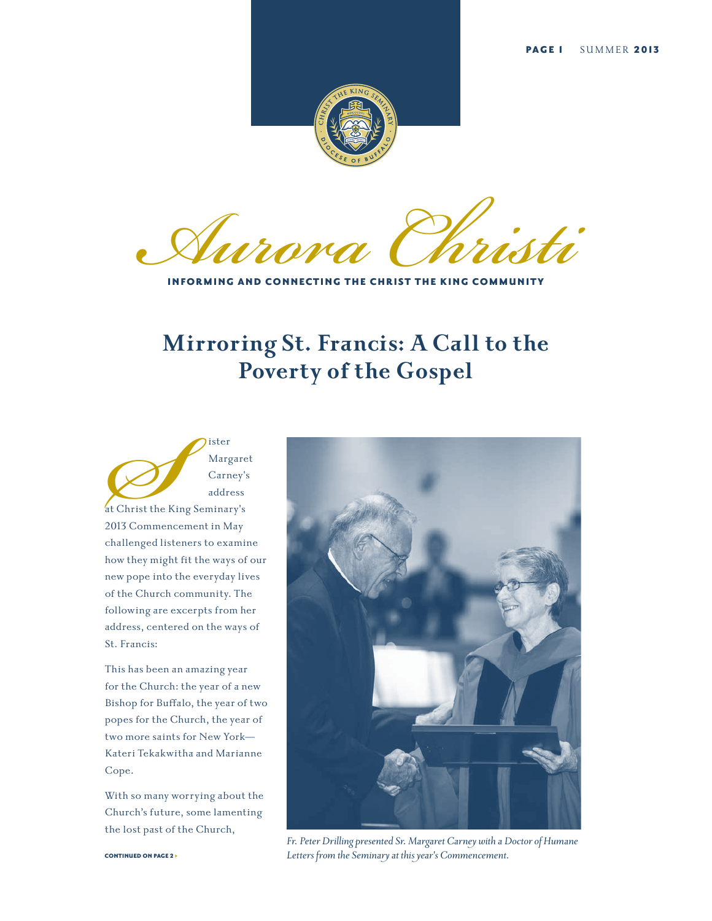

**Aurora Christian** 

INFORMING AND CONNECTING THE CHRIST THE KING COMMUNITY

# **Mirroring St. Francis: A Call to the Poverty of the Gospel**

Ster Marg<br>
Carn<br>
ddre Garn<br>
ddre addre addre addre addre addre addre addre addre addre addre addre and the Mallenged listeners to examents and the state of the state of the state of the state of the state of the state of t Margaret Carney's address at Christ the King Seminary's 2013 Commencement in May challenged listeners to examine how they might fit the ways of our new pope into the everyday lives of the Church community. The following are excerpts from her address, centered on the ways of St. Francis:

This has been an amazing year for the Church: the year of a new Bishop for Buffalo, the year of two popes for the Church, the year of two more saints for New York— Kateri Tekakwitha and Marianne Cope.

With so many worrying about the Church's future, some lamenting the lost past of the Church,



*Fr. Peter Drilling presented Sr. Margaret Carney with a Doctor of Humane Letters from the Seminary at this year's Commencement.*

CONTINUED ON PAGE 2 >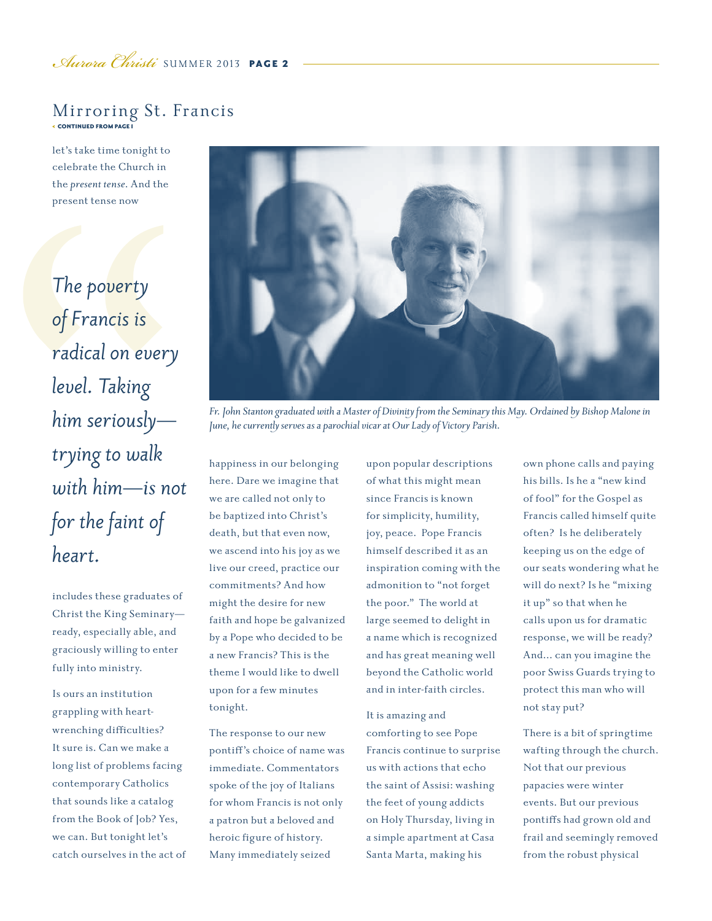### < CONTINUED FROM PAGE 1 Mirroring St. Francis

let's take time tonight to celebrate the Church in the *present tense*. And the present tense now

*The poverty of Francis is radical on every level. Taking him seriously trying to walk with him—is not for the faint of heart.*

includes these graduates of Christ the King Seminary ready, especially able, and graciously willing to enter fully into ministry.

Is ours an institution grappling with heartwrenching difficulties? It sure is. Can we make a long list of problems facing contemporary Catholics that sounds like a catalog from the Book of Job? Yes, we can. But tonight let's catch ourselves in the act of



*Fr. John Stanton graduated with a Master of Divinity from the Seminary this May. Ordained by Bishop Malone in June, he currently serves as a parochial vicar at Our Lady of Victory Parish.*

happiness in our belonging here. Dare we imagine that we are called not only to be baptized into Christ's death, but that even now, we ascend into his joy as we live our creed, practice our commitments? And how might the desire for new faith and hope be galvanized by a Pope who decided to be a new Francis? This is the theme I would like to dwell upon for a few minutes tonight.

The response to our new pontiff's choice of name was immediate. Commentators spoke of the joy of Italians for whom Francis is not only a patron but a beloved and heroic figure of history. Many immediately seized

upon popular descriptions of what this might mean since Francis is known for simplicity, humility, joy, peace. Pope Francis himself described it as an inspiration coming with the admonition to "not forget the poor." The world at large seemed to delight in a name which is recognized and has great meaning well beyond the Catholic world and in inter-faith circles.

It is amazing and comforting to see Pope Francis continue to surprise us with actions that echo the saint of Assisi: washing the feet of young addicts on Holy Thursday, living in a simple apartment at Casa Santa Marta, making his

own phone calls and paying his bills. Is he a "new kind of fool" for the Gospel as Francis called himself quite often? Is he deliberately keeping us on the edge of our seats wondering what he will do next? Is he "mixing it up" so that when he calls upon us for dramatic response, we will be ready? And… can you imagine the poor Swiss Guards trying to protect this man who will not stay put?

There is a bit of springtime wafting through the church. Not that our previous papacies were winter events. But our previous pontiffs had grown old and frail and seemingly removed from the robust physical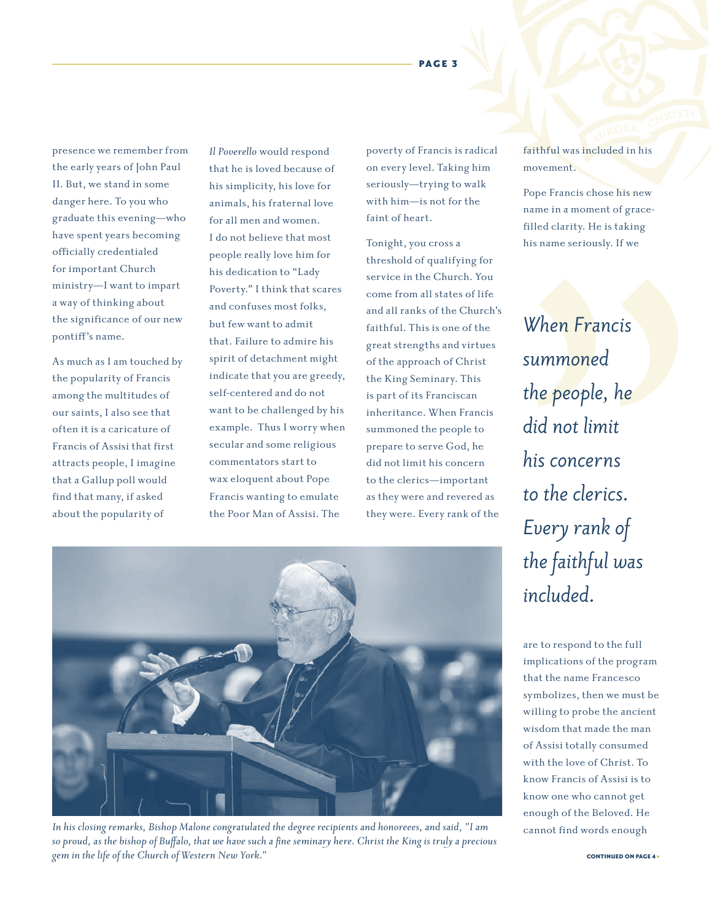# PAGE 3 N<sub>J</sub> V**J**

presence we remember from the early years of John Paul II. But, we stand in some danger here. To you who graduate this evening—who have spent years becoming officially credentialed for important Church ministry—I want to impart a way of thinking about the significance of our new pontiff's name.

As much as I am touched by the popularity of Francis among the multitudes of our saints, I also see that often it is a caricature of Francis of Assisi that first attracts people, I imagine that a Gallup poll would find that many, if asked about the popularity of

*Il Poverello* would respond that he is loved because of his simplicity, his love for animals, his fraternal love for all men and women. I do not believe that most people really love him for his dedication to "Lady Poverty." I think that scares and confuses most folks, but few want to admit that. Failure to admire his spirit of detachment might indicate that you are greedy, self-centered and do not want to be challenged by his example. Thus I worry when secular and some religious commentators start to wax eloquent about Pope Francis wanting to emulate the Poor Man of Assisi. The

poverty of Francis is radical on every level. Taking him seriously—trying to walk with him—is not for the faint of heart.

Tonight, you cross a threshold of qualifying for service in the Church. You come from all states of life and all ranks of the Church's faithful. This is one of the great strengths and virtues of the approach of Christ the King Seminary. This is part of its Franciscan inheritance. When Francis summoned the people to prepare to serve God, he did not limit his concern to the clerics—important as they were and revered as they were. Every rank of the

faithful was included in his movement.

Pope Francis chose his new name in a moment of gracefilled clarity. He is taking his name seriously. If we

*When Francis summoned the people, he did not limit his concerns to the clerics. Every rank of the faithful was included.*

are to respond to the full implications of the program that the name Francesco symbolizes, then we must be willing to probe the ancient wisdom that made the man of Assisi totally consumed with the love of Christ. To know Francis of Assisi is to know one who cannot get enough of the Beloved. He cannot find words enough



*In his closing remarks, Bishop Malone congratulated the degree recipients and honoreees, and said, "I am so proud, as the bishop of Buffalo, that we have such a fine seminary here. Christ the King is truly a precious gem in the life of the Church of Western New York."*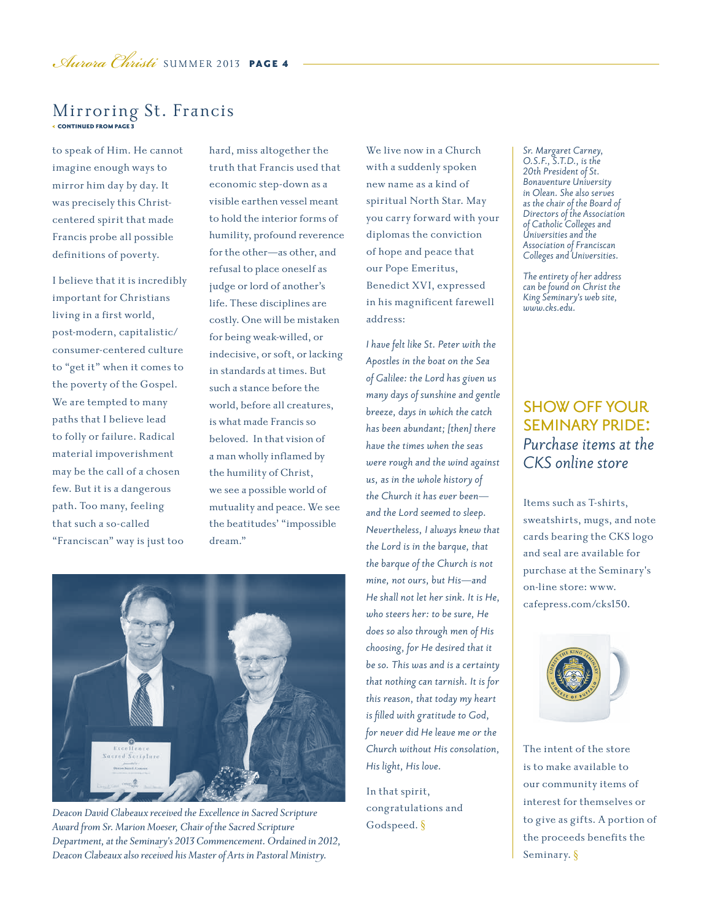### < CONTINUED FROM PAGE 3 Mirroring St. Francis

to speak of Him. He cannot imagine enough ways to mirror him day by day. It was precisely this Christcentered spirit that made Francis probe all possible definitions of poverty.

I believe that it is incredibly important for Christians living in a first world, post-modern, capitalistic/ consumer-centered culture to "get it" when it comes to the poverty of the Gospel. We are tempted to many paths that I believe lead to folly or failure. Radical material impoverishment may be the call of a chosen few. But it is a dangerous path. Too many, feeling that such a so-called "Franciscan" way is just too

hard, miss altogether the truth that Francis used that economic step-down as a visible earthen vessel meant to hold the interior forms of humility, profound reverence for the other—as other, and refusal to place oneself as judge or lord of another's life. These disciplines are costly. One will be mistaken for being weak-willed, or indecisive, or soft, or lacking in standards at times. But such a stance before the world, before all creatures, is what made Francis so beloved. In that vision of a man wholly inflamed by the humility of Christ, we see a possible world of mutuality and peace. We see the beatitudes' "impossible dream."



*Deacon David Clabeaux received the Excellence in Sacred Scripture Award from Sr. Marion Moeser, Chair of the Sacred Scripture Department, at the Seminary's 2013 Commencement. Ordained in 2012, Deacon Clabeaux also received his Master of Arts in Pastoral Ministry.*

We live now in a Church with a suddenly spoken new name as a kind of spiritual North Star. May you carry forward with your diplomas the conviction of hope and peace that our Pope Emeritus, Benedict XVI, expressed in his magnificent farewell address:

*I have felt like St. Peter with the Apostles in the boat on the Sea of Galilee: the Lord has given us many days of sunshine and gentle breeze, days in which the catch has been abundant; [then] there have the times when the seas were rough and the wind against us, as in the whole history of the Church it has ever been and the Lord seemed to sleep. Nevertheless, I always knew that the Lord is in the barque, that the barque of the Church is not mine, not ours, but His—and He shall not let her sink. It is He, who steers her: to be sure, He does so also through men of His choosing, for He desired that it be so. This was and is a certainty that nothing can tarnish. It is for this reason, that today my heart is filled with gratitude to God, for never did He leave me or the Church without His consolation, His light, His love.* 

In that spirit, congratulations and Godspeed. §

*Sr. Margaret Carney, O.S.F., S.T.D., is the 20th President of St. Bonaventure University in Olean. She also serves as the chair of the Board of Directors of the Association of Catholic Colleges and Universities and the Association of Franciscan Colleges and Universities.*

*The entirety of her address can be found on Christ the King Seminary's web site, www.cks.edu.*

### show off your seminary pride: *Purchase items at the CKS online store*

Items such as T-shirts, sweatshirts, mugs, and note cards bearing the CKS logo and seal are available for purchase at the Seminary's on-line store: www. cafepress.com/cks150.



The intent of the store is to make available to our community items of interest for themselves or to give as gifts. A portion of the proceeds benefits the Seminary. §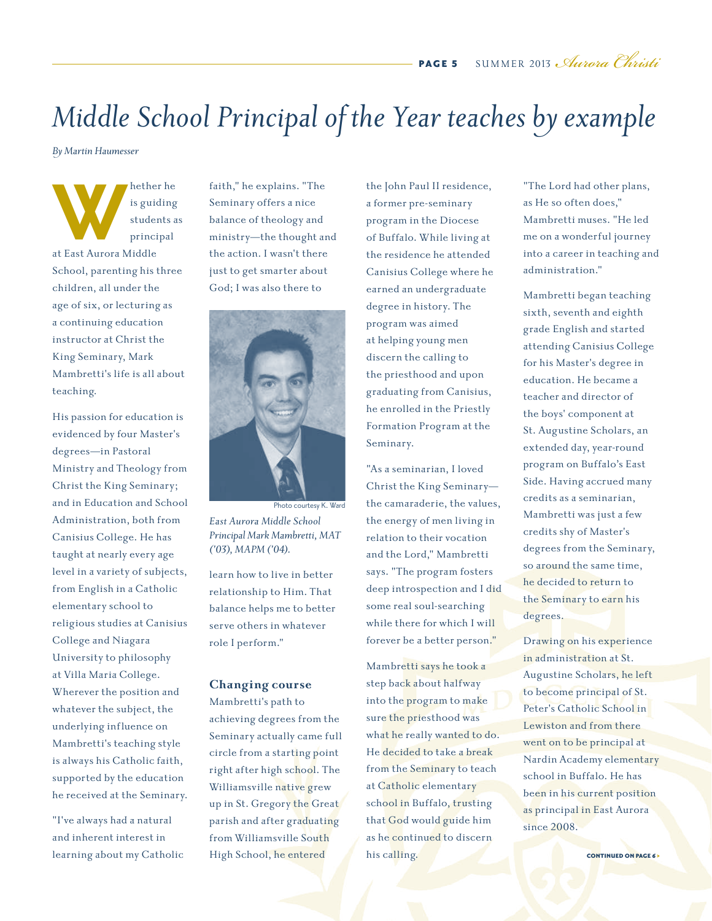# *Middle School Principal of the Year teaches by example*

*By Martin Haumesser*

**Markther he**<br> **Walker is guiding**<br>
students a<br>
principal<br>
at East Aurora Middle is guiding students as principal at East Aurora Middle School, parenting his three children, all under the age of six, or lecturing as a continuing education instructor at Christ the King Seminary, Mark Mambretti's life is all about teaching.

His passion for education is evidenced by four Master's degrees*—*in Pastoral Ministry and Theology from Christ the King Seminary; and in Education and School Administration, both from Canisius College. He has taught at nearly every age level in a variety of subjects, from English in a Catholic elementary school to religious studies at Canisius College and Niagara University to philosophy at Villa Maria College. Wherever the position and whatever the subject, the underlying influence on Mambretti's teaching style is always his Catholic faith, supported by the education he received at the Seminary.

"I've always had a natural and inherent interest in learning about my Catholic faith," he explains. "The Seminary offers a nice balance of theology and ministry*—*the thought and the action. I wasn't there just to get smarter about God; I was also there to



*East Aurora Middle School Principal Mark Mambretti, MAT ('03), MAPM ('04).* Photo courtesy K. Ward

learn how to live in better relationship to Him. That balance helps me to better serve others in whatever role I perform."

#### **Changing course**

Mambretti's path to achieving degrees from the Seminary actually came full circle from a starting point right after high school. The Williamsville native grew up in St. Gregory the Great parish and after graduating from Williamsville South High School, he entered

the John Paul II residence, a former pre-seminary program in the Diocese of Buffalo. While living at the residence he attended Canisius College where he earned an undergraduate degree in history. The program was aimed at helping young men discern the calling to the priesthood and upon graduating from Canisius, he enrolled in the Priestly Formation Program at the Seminary.

"As a seminarian, I loved Christ the King Seminary the camaraderie, the values, the energy of men living in relation to their vocation and the Lord," Mambretti says. "The program fosters deep introspection and I did some real soul-searching while there for which I will forever be a better person."

Mambretti says he took a step back about halfway into the program to make sure the priesthood was what he really wanted to do. He decided to take a break from the Seminary to teach at Catholic elementary school in Buffalo, trusting that God would guide him as he continued to discern his calling.

"The Lord had other plans, as He so often does," Mambretti muses. "He led me on a wonderful journey into a career in teaching and administration."

Mambretti began teaching sixth, seventh and eighth grade English and started attending Canisius College for his Master's degree in education. He became a teacher and director of the boys' component at St. Augustine Scholars, an extended day, year-round program on Buffalo's East Side. Having accrued many credits as a seminarian, Mambretti was just a few credits shy of Master's degrees from the Seminary, so around the same time, he decided to return to the Seminary to earn his degrees.

Drawing on his experience in administration at St. Augustine Scholars, he left to become principal of St. Peter's Catholic School in Lewiston and from there went on to be principal at Nardin Academy elementary school in Buffalo. He has been in his current position as principal in East Aurora since 2008.

CONTINUED ON PAGE 6 >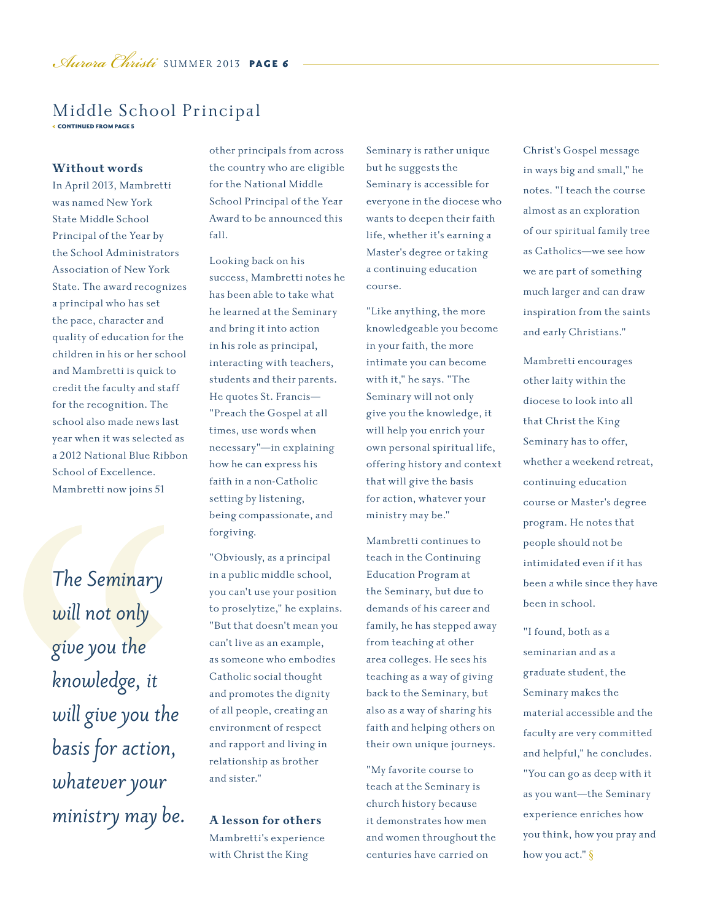### < CONTINUED FROM PAGE 5 Middle School Principal

#### **Without words**

In April 2013, Mambretti was named New York State Middle School Principal of the Year by the School Administrators Association of New York State. The award recognizes a principal who has set the pace, character and quality of education for the children in his or her school and Mambretti is quick to credit the faculty and staff for the recognition. The school also made news last year when it was selected as a 2012 National Blue Ribbon School of Excellence. Mambretti now joins 51

*The Seminary will not only give you the knowledge, it will give you the basis for action, whatever your ministry may be.* other principals from across the country who are eligible for the National Middle School Principal of the Year Award to be announced this fall.

Looking back on his success, Mambretti notes he has been able to take what he learned at the Seminary and bring it into action in his role as principal, interacting with teachers, students and their parents. He quotes St. Francis*—* "Preach the Gospel at all times, use words when necessary"*—*in explaining how he can express his faith in a non-Catholic setting by listening, being compassionate, and forgiving.

"Obviously, as a principal in a public middle school, you can't use your position to proselytize," he explains. "But that doesn't mean you can't live as an example, as someone who embodies Catholic social thought and promotes the dignity of all people, creating an environment of respect and rapport and living in relationship as brother and sister."

**A lesson for others** Mambretti's experience with Christ the King

Seminary is rather unique but he suggests the Seminary is accessible for everyone in the diocese who wants to deepen their faith life, whether it's earning a Master's degree or taking a continuing education course.

"Like anything, the more knowledgeable you become in your faith, the more intimate you can become with it," he says. "The Seminary will not only give you the knowledge, it will help you enrich your own personal spiritual life, offering history and context that will give the basis for action, whatever your ministry may be."

Mambretti continues to teach in the Continuing Education Program at the Seminary, but due to demands of his career and family, he has stepped away from teaching at other area colleges. He sees his teaching as a way of giving back to the Seminary, but also as a way of sharing his faith and helping others on their own unique journeys.

"My favorite course to teach at the Seminary is church history because it demonstrates how men and women throughout the centuries have carried on

Christ's Gospel message in ways big and small," he notes. "I teach the course almost as an exploration of our spiritual family tree as Catholics*—*we see how we are part of something much larger and can draw inspiration from the saints and early Christians."

Mambretti encourages other laity within the diocese to look into all that Christ the King Seminary has to offer, whether a weekend retreat, continuing education course or Master's degree program. He notes that people should not be intimidated even if it has been a while since they have been in school.

"I found, both as a seminarian and as a graduate student, the Seminary makes the material accessible and the faculty are very committed and helpful," he concludes. "You can go as deep with it as you want*—*the Seminary experience enriches how you think, how you pray and how you act." §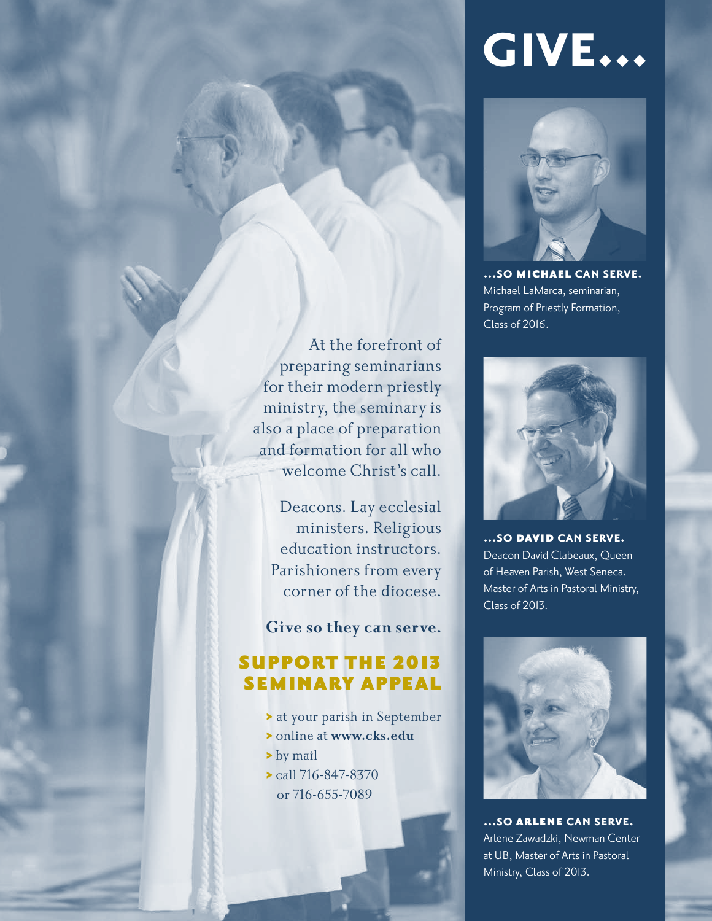# **give...**



**...so** michael **can serve.** Michael LaMarca, seminarian, Program of Priestly Formation, Class of 2016.

**...so** david **can serve.** Deacon David Clabeaux, Queen of Heaven Parish, West Seneca. Master of Arts in Pastoral Ministry, Class of 2013.



**...so** arlene **can serve.** Arlene Zawadzki, Newman Center at UB, Master of Arts in Pastoral Ministry, Class of 2013.

At the forefront of preparing seminarians for their modern priestly ministry, the seminary is also a place of preparation and formation for all who welcome Christ's call.

Deacons. Lay ecclesial ministers. Religious education instructors. Parishioners from every corner of the diocese.

**Give so they can serve.**

## support the 2013 seminary appeal

- > at your parish in September
- > online at **www.cks.edu**
- > by mail
- > call 716-847-8370 or 716-655-7089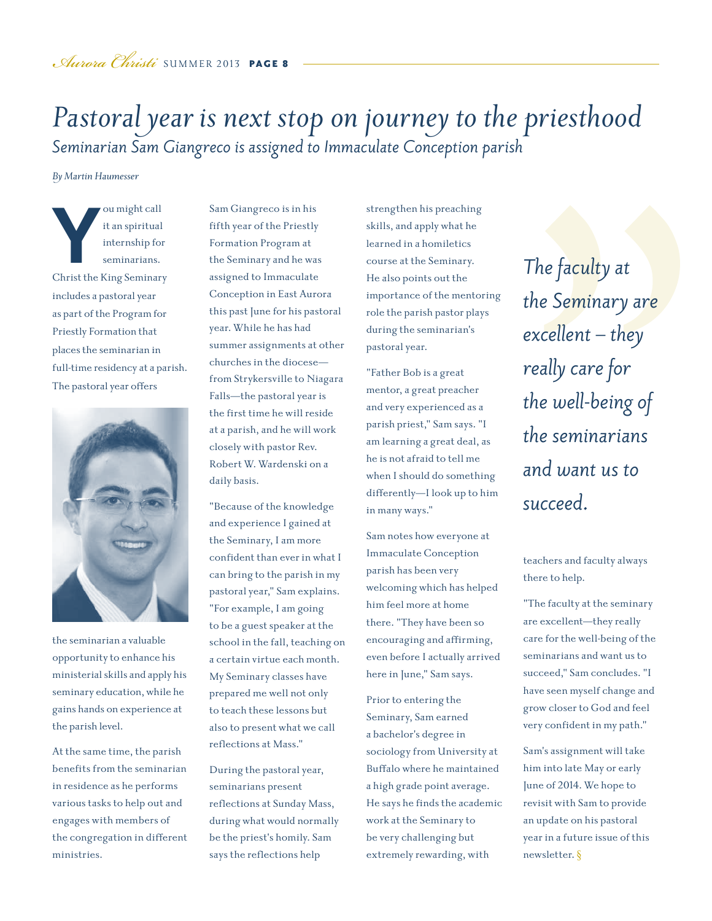# *Pastoral year is next stop on journey to the priesthood Seminarian Sam Giangreco is assigned to Immaculate Conception parish*

*By Martin Haumesser*

**Y**<br>
Solution in the Seminarians Christ the King Seminary<br>
Christ the King Seminary ou might call it an spiritual internship for seminarians. includes a pastoral year as part of the Program for Priestly Formation that places the seminarian in full-time residency at a parish. The pastoral year offers



the seminarian a valuable opportunity to enhance his ministerial skills and apply his seminary education, while he gains hands on experience at the parish level.

At the same time, the parish benefits from the seminarian in residence as he performs various tasks to help out and engages with members of the congregation in different ministries.

Sam Giangreco is in his fifth year of the Priestly Formation Program at the Seminary and he was assigned to Immaculate Conception in East Aurora this past June for his pastoral year. While he has had summer assignments at other churches in the diocese from Strykersville to Niagara Falls*—*the pastoral year is the first time he will reside at a parish, and he will work closely with pastor Rev. Robert W. Wardenski on a daily basis.

"Because of the knowledge and experience I gained at the Seminary, I am more confident than ever in what I can bring to the parish in my pastoral year," Sam explains. "For example, I am going to be a guest speaker at the school in the fall, teaching on a certain virtue each month. My Seminary classes have prepared me well not only to teach these lessons but also to present what we call reflections at Mass."

During the pastoral year, seminarians present reflections at Sunday Mass, during what would normally be the priest's homily. Sam says the reflections help

strengthen his preaching skills, and apply what he learned in a homiletics course at the Seminary. He also points out the importance of the mentoring role the parish pastor plays during the seminarian's pastoral year.

"Father Bob is a great mentor, a great preacher and very experienced as a parish priest," Sam says. "I am learning a great deal, as he is not afraid to tell me when I should do something differently*—*I look up to him in many ways."

Sam notes how everyone at Immaculate Conception parish has been very welcoming which has helped him feel more at home there. "They have been so encouraging and affirming, even before I actually arrived here in June," Sam says.

Prior to entering the Seminary, Sam earned a bachelor's degree in sociology from University at Buffalo where he maintained a high grade point average. He says he finds the academic work at the Seminary to be very challenging but extremely rewarding, with

*The faculty at the Seminary are excellent – they really care for the well-being of the seminarians and want us to succeed.*

teachers and faculty always there to help.

"The faculty at the seminary are excellent*—*they really care for the well-being of the seminarians and want us to succeed," Sam concludes. "I have seen myself change and grow closer to God and feel very confident in my path."

Sam's assignment will take him into late May or early June of 2014. We hope to revisit with Sam to provide an update on his pastoral year in a future issue of this newsletter. §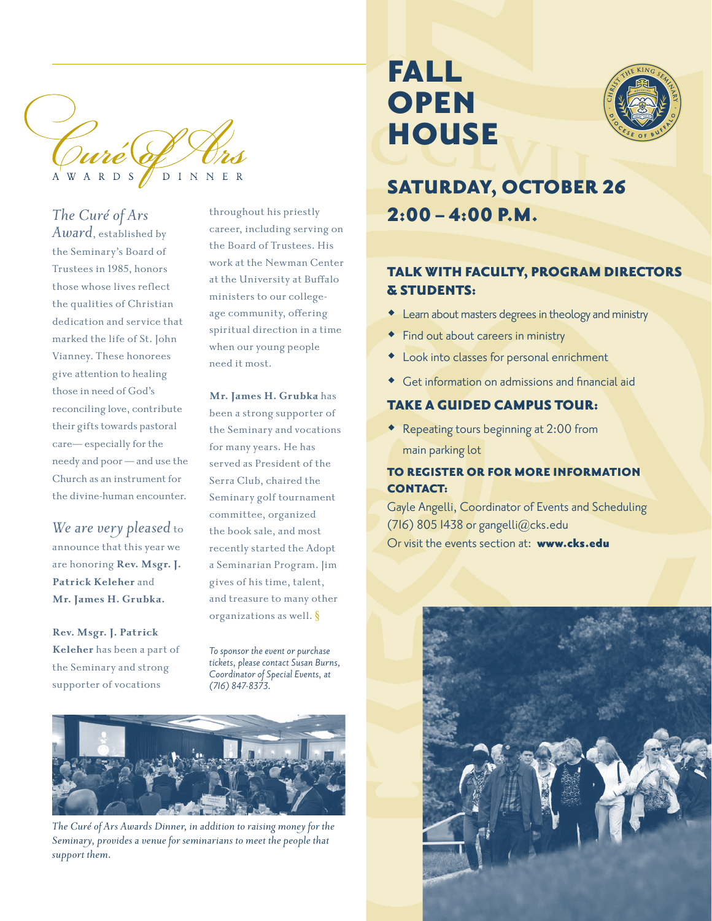

*The Curé of Ars Award*, established by the Seminary's Board of Trustees in 1985, honors those whose lives reflect the qualities of Christian dedication and service that marked the life of St. John Vianney. These honorees give attention to healing those in need of God's reconciling love, contribute their gifts towards pastoral care— especially for the needy and poor — and use the Church as an instrument for the divine-human encounter.

*We are very pleased* to announce that this year we are honoring **Rev. Msgr. J. Patrick Keleher** and **Mr. James H. Grubka.** 

**Rev. Msgr. J. Patrick Keleher** has been a part of the Seminary and strong supporter of vocations

throughout his priestly career, including serving on the Board of Trustees. His work at the Newman Center at the University at Buffalo ministers to our collegeage community, offering spiritual direction in a time when our young people need it most.

**Mr. James H. Grubka** has

been a strong supporter of the Seminary and vocations for many years. He has served as President of the Serra Club, chaired the Seminary golf tournament committee, organized the book sale, and most recently started the Adopt a Seminarian Program. Jim gives of his time, talent, and treasure to many other organizations as well. §

*To sponsor the event or purchase tickets, please contact Susan Burns, Coordinator of Special Events, at (716) 847-8373.*



*The Curé of Ars Awards Dinner, in addition to raising money for the Seminary, provides a venue for seminarians to meet the people that support them.*

# **FALL OPEN HOUSE**



# SATURDAY, OCTOBER 26  $2:00 - 4:00$  P.M.

### TALK WITH FACULTY, PROGRAM DIRECTORS & STUDENTS:

- Learn about masters degrees in theology and ministry
- **Find out about careers in ministry**
- Look into classes for personal enrichment
- Get information on admissions and financial aid

### TAKE A GUIDED CAMPUS TOUR:

 Repeating tours beginning at 2:00 from main parking lot

### TO REGISTER OR FOR MORE INFORMATION CONTACT:

Gayle Angelli, Coordinator of Events and Scheduling (716) 805 1438 or gangelli $@$ cks.edu Or visit the events section at: www.cks.edu

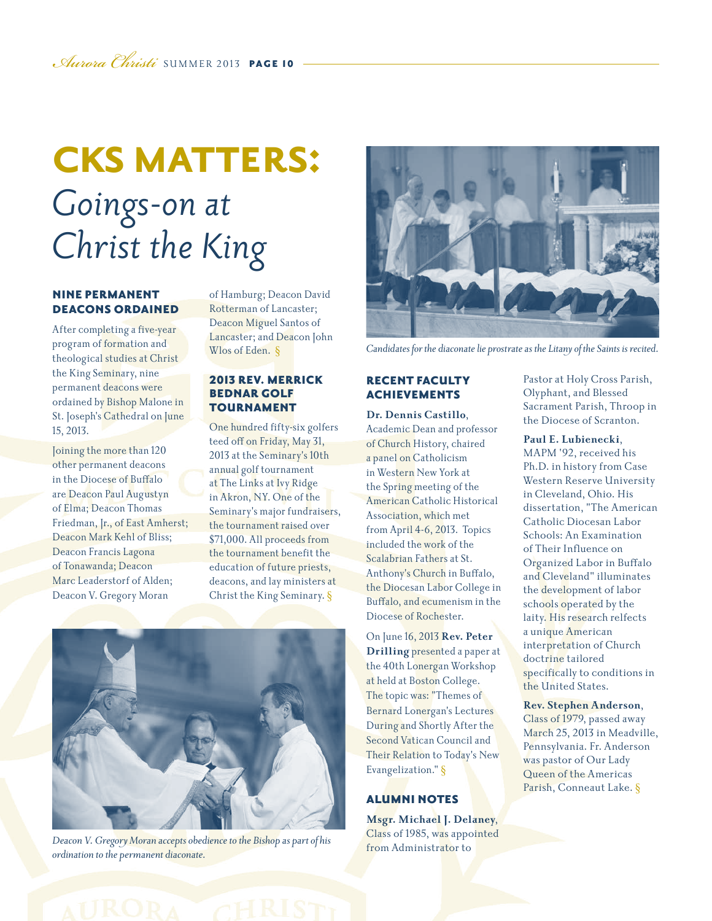# **CKS MATTERS:** *Goings-on at Christ the King*

#### NINE PERMANENT DEACONS ORDAINED

After completing a five-year program of formation and theological studies at Christ the King Seminary, nine permanent deacons were ordained by Bishop Malone in St. Joseph's Cathedral on June 15, 2013.

Joining the more than 120 other permanent deacons in the Diocese of Buffalo are Deacon Paul Augustyn of Elma; Deacon Thomas Friedman, Jr., of East Amherst; Deacon Mark Kehl of Bliss; Deacon Francis Lagona of Tonawanda; Deacon Marc Leaderstorf of Alden; Deacon V. Gregory Moran

of Hamburg; Deacon David Rotterman of Lancaster; Deacon Miguel Santos of Lancaster; and Deacon John Wlos of Eden. §

#### 2013 REV. MERRICK BEDNAR GOLF TOURNAMENT

One hundred fifty-six golfers teed off on Friday, May 31, 2013 at the Seminary's 10th annual golf tournament at The Links at Ivy Ridge in Akron, NY. One of the Seminary's major fundraisers, the tournament raised over \$71,000. All proceeds from the tournament benefit the education of future priests, deacons, and lay ministers at Christ the King Seminary. §



*Deacon V. Gregory Moran accepts obedience to the Bishop as part of his ordination to the permanent diaconate.*



*Candidates for the diaconate lie prostrate as the Litany of the Saints is recited.*

#### RECENT FACULTY ACHIEVEMENTS

**Dr. Dennis Castillo**, Academic Dean and professor of Church History, chaired a panel on Catholicism in Western New York at the Spring meeting of the American Catholic Historical Association, which met from April 4-6, 2013. Topics included the work of the Scalabrian Fathers at St. Anthony's Church in Buffalo, the Diocesan Labor College in Buffalo, and ecumenism in the Diocese of Rochester.

On June 16, 2013 **Rev. Peter Drilling** presented a paper at the 40th Lonergan Workshop at held at Boston College. The topic was: "Themes of Bernard Lonergan's Lectures During and Shortly After the Second Vatican Council and Their Relation to Today's New Evangelization." §

#### ALUMNI NOTES

**Msgr. Michael J. Delaney**, Class of 1985, was appointed from Administrator to

Pastor at Holy Cross Parish, Olyphant, and Blessed Sacrament Parish, Throop in the Diocese of Scranton.

#### **Paul E. Lubienecki**,

MAPM '92, received his Ph.D. in history from Case Western Reserve University in Cleveland, Ohio. His dissertation, "The American Catholic Diocesan Labor Schools: An Examination of Their Influence on Organized Labor in Buffalo and Cleveland" illuminates the development of labor schools operated by the laity. His research relfects a unique American interpretation of Church doctrine tailored specifically to conditions in the United States.

**Rev. Stephen Anderson**, Class of 1979, passed away March 25, 2013 in Meadville, Pennsylvania. Fr. Anderson was pastor of Our Lady Queen of the Americas Parish, Conneaut Lake. §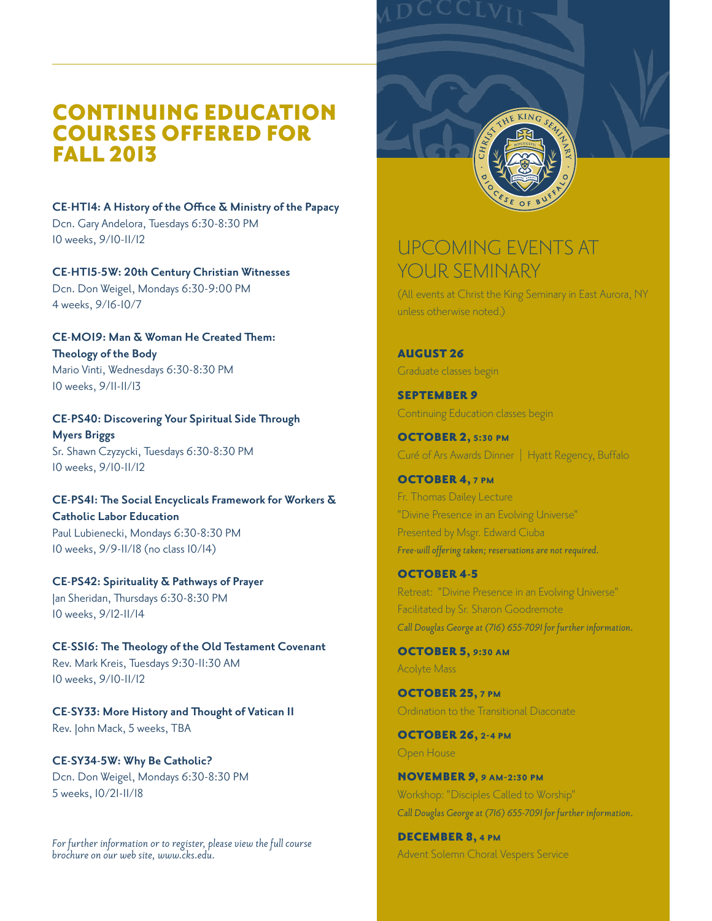## CONTINUING EDUCATION COURSES OFFERED FOR FALL 2013

**CE-HT14: A History of the Office & Ministry of the Papacy** Dcn. Gary Andelora, Tuesdays 6:30-8:30 PM 10 weeks, 9/10-11/12

**CE-HT15-5W: 20th Century Christian Witnesses** Dcn. Don Weigel, Mondays 6:30-9:00 PM 4 weeks, 9/16-10/7

**CE-MO19: Man & Woman He Created Them: Theology of the Body** Mario Vinti, Wednesdays 6:30-8:30 PM 10 weeks, 9/11-11/13

**CE-PS40: Discovering Your Spiritual Side Through Myers Briggs** Sr. Shawn Czyzycki, Tuesdays 6:30-8:30 PM 10 weeks, 9/10-11/12

**CE-PS41: The Social Encyclicals Framework for Workers & Catholic Labor Education** Paul Lubienecki, Mondays 6:30-8:30 PM 10 weeks, 9/9-11/18 (no class 10/14)

**CE-PS42: Spirituality & Pathways of Prayer** Jan Sheridan, Thursdays 6:30-8:30 PM 10 weeks, 9/12-11/14

**CE-SS16: The Theology of the Old Testament Covenant** Rev. Mark Kreis, Tuesdays 9:30-11:30 AM 10 weeks, 9/10-11/12

**CE-SY33: More History and Thought of Vatican II** Rev. John Mack, 5 weeks, TBA

**CE-SY34-5W: Why Be Catholic?** Dcn. Don Weigel, Mondays 6:30-8:30 PM 5 weeks, 10/21-11/18

*For further information or to register, please view the full course brochure on our web site, www.cks.edu.*



# UPCOMING EVENTS AT YOUR SEMINARY

(All events at Christ the King Seminary in East Aurora, NY unless otherwise noted.)

AUGUST 26 Graduate classes begin

SEPTEMBER 9 Continuing Education classes begin

OCTOBER 2, **5:30 pm** Curé of Ars Awards Dinner | Hyatt Regency, Buffalo

OCTOBER 4, **7 pm** Fr. Thomas Dailey Lecture "Divine Presence in an Evolving Universe" Presented by Msgr. Edward Ciuba *Free-will offering taken; reservations are not required.*

OCTOBER 4-5 Retreat: "Divine Presence in an Evolving Universe" Facilitated by Sr. Sharon Goodremote *Call Douglas George at (716) 655-7091 for further information.*

OCTOBER 5, **9:30 am** Acolyte Mass

OCTOBER 25, **7 pm** Ordination to the Transitional Diaconate

OCTOBER 26, **2-4 pm** Open House

NOVEMBER 9**, 9 am-2:30 pm** Workshop: "Disciples Called to Worship" *Call Douglas George at (716) 655-7091 for further information.*

DECEMBER 8, **4 pm** Advent Solemn Choral Vespers Service